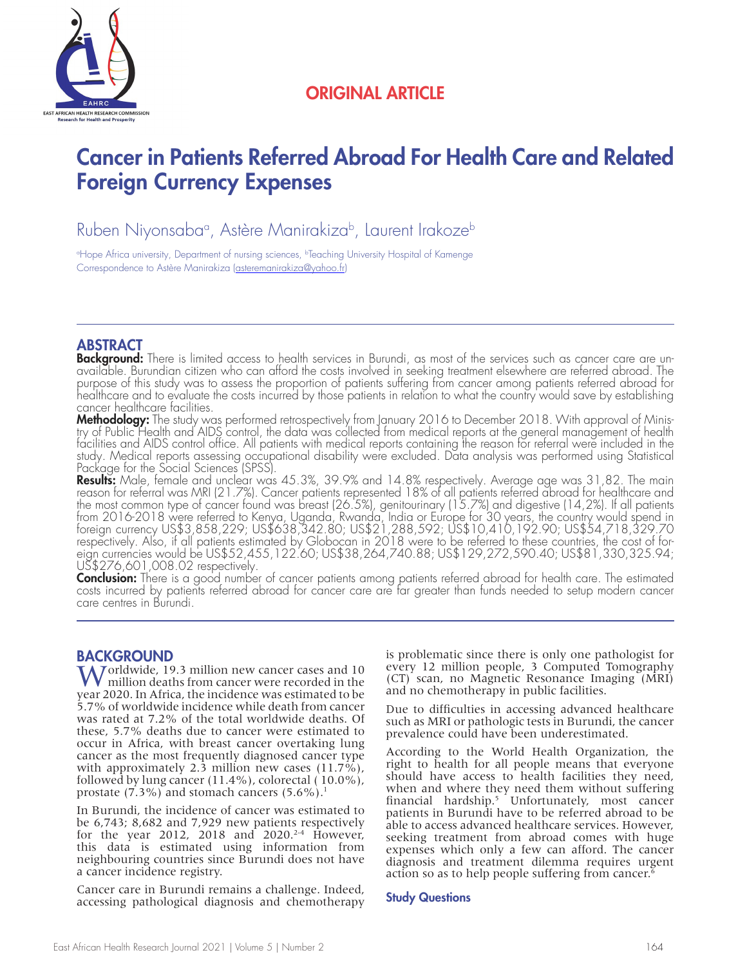

## ORIGINAL ARTICLE

## Cancer in Patients Referred Abroad For Health Care and Related Foreign Currency Expenses

Ruben Niyonsabaª, Astère Manirakiza<sup>b</sup>, Laurent Irakoze<sup>b</sup>

<sup>a</sup>Hope Africa university, Department of nursing sciences, <sup>b</sup>Teaching University Hospital of Kamenge Correspondence to Astère Manirakiza (asteremanirakiza@yahoo.fr)

**ABSTRACT**<br>Background: There is limited access to health services in Burundi, as most of the services such as cancer care are unavailable. Burundian citizen who can afford the costs involved in seeking treatment elsewhere are referred abroad. The<br>purpose of this study was to assess the proportion of patients suffering from cancer among patients ref healthcare and to evaluate the costs incurred by those patients in relation to what the country would save by establishing

cancer healthcare facilities.<br>**Methodology:** The study was performed retrospectively from January 2016 to December 2018. With approval of Minis-**Methodology:** The study was performed retrospectively from January 2016 to December 2018. With approval of Minis-<br>try of Public Health and AIDS control, the data was collected from medical reports at the general managemen study. Medical reports assessing occupational disability were excluded. Data analysis was performed using Statistical Package for the Social Sciences (SPSS).

**Results:** Male, female and unclear was 45.3%, 39.9% and 14.8% respectively. Average age was 31,82. The main<br>reason for referral was MRI (21.7%). Cancer patients represented 18% of all patients referred abroad for healthca the most common type of cancer found was breast (26.5%), genitourinary (15.7%) and digestive (14,2%). If all patients from 2016-2018 were referred to Kenya, Uganda, Rwanda, India or Europe for 30 years, the country would spend in<br>foreign currency US\$3,858,229; US\$638,342.80; US\$21,288,592; US\$10,410,192.90; US\$54,718,329.70 respectively. Also, if all patients estimated by Globocan in 2018 were to be referred to these countries, the cost of for-<br>eign currencies would be US\$52,455,122.60; US\$38,264,740.88; US\$129,272,590.40; US\$81,330,325.94; US\$276,601,008.02 respectively.

**Conclusion:** There is a good number of cancer patients among patients referred abroad for health care. The estimated<br>costs incurred by patients referred abroad for cancer care are far greater than funds needed to setup mo care centres in Burundi.

## **BACKGROUND**

**A** Jorldwide, 19.3 million new cancer cases and 10 million deaths from cancer were recorded in the year 2020. In Africa, the incidence was estimated to be 5.7% of worldwide incidence while death from cancer was rated at 7.2% of the total worldwide deaths. Of these, 5.7% deaths due to cancer were estimated to occur in Africa, with breast cancer overtaking lung cancer as the most frequently diagnosed cancer type with approximately 2.3 million new cases (11.7%), followed by lung cancer (11.4%), colorectal ( 10.0%), prostate  $(7.3\%)$  and stomach cancers  $(5.6\%)$ <sup>1</sup>

In Burundi, the incidence of cancer was estimated to be 6,743; 8,682 and 7,929 new patients respectively for the year 2012, 2018 and 2020.<sup>2-4</sup> However, this data is estimated using information from neighbouring countries since Burundi does not have a cancer incidence registry.

Cancer care in Burundi remains a challenge. Indeed, accessing pathological diagnosis and chemotherapy is problematic since there is only one pathologist for every 12 million people, 3 Computed Tomography (CT) scan, no Magnetic Resonance Imaging (MRI) and no chemotherapy in public facilities.

Due to difficulties in accessing advanced healthcare such as MRI or pathologic tests in Burundi, the cancer prevalence could have been underestimated.

According to the World Health Organization, the right to health for all people means that everyone should have access to health facilities they need, when and where they need them without suffering financial hardship.<sup>5</sup> Unfortunately, most cancer patients in Burundi have to be referred abroad to be able to access advanced healthcare services. However, seeking treatment from abroad comes with huge expenses which only a few can afford. The cancer diagnosis and treatment dilemma requires urgent action so as to help people suffering from cancer.<sup>6</sup>

### Study Questions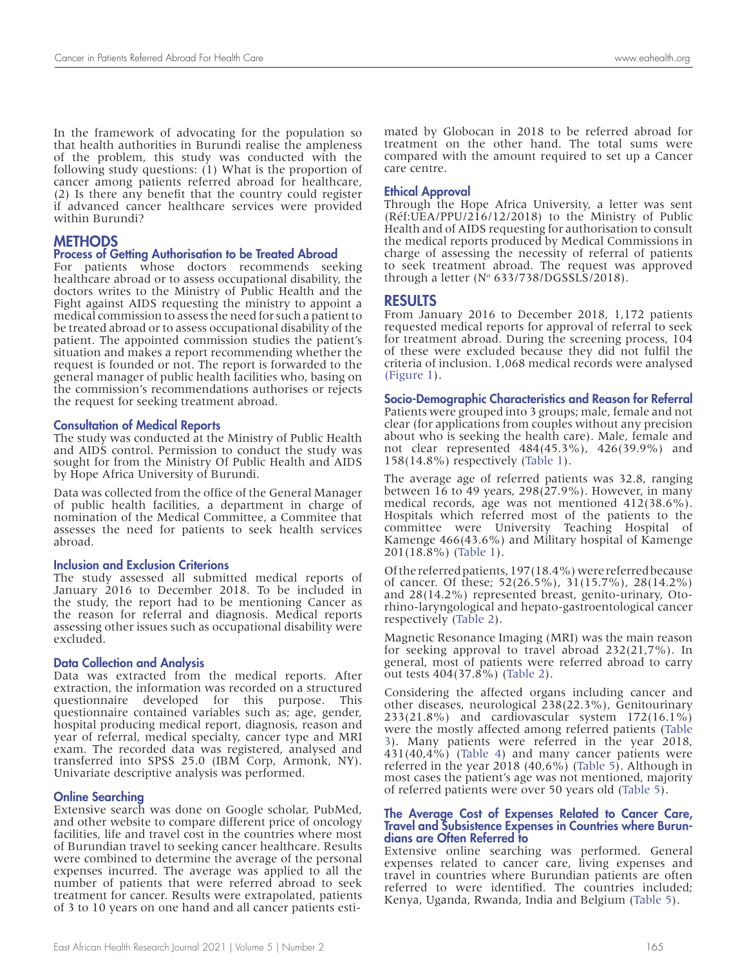In the framework of advocating for the population so that health authorities in Burundi realise the ampleness of the problem, this study was conducted with the following study questions: (1) What is the proportion of cancer among patients referred abroad for healthcare, (2) Is there any benefit that the country could register if advanced cancer healthcare services were provided within Burundi?

### **METHODS**

### Process of Getting Authorisation to be Treated Abroad

For patients whose doctors recommends seeking healthcare abroad or to assess occupational disability, the doctors writes to the Ministry of Public Health and the Fight against AIDS requesting the ministry to appoint a medical commission to assess the need for such a patient to be treated abroad or to assess occupational disability of the patient. The appointed commission studies the patient's situation and makes a report recommending whether the request is founded or not. The report is forwarded to the general manager of public health facilities who, basing on the commission's recommendations authorises or rejects the request for seeking treatment abroad.

#### Consultation of Medical Reports

The study was conducted at the Ministry of Public Health and AIDS control. Permission to conduct the study was sought for from the Ministry Of Public Health and AIDS by Hope Africa University of Burundi.

Data was collected from the office of the General Manager of public health facilities, a department in charge of nomination of the Medical Committee, a Commitee that assesses the need for patients to seek health services abroad.

#### Inclusion and Exclusion Criterions

The study assessed all submitted medical reports of January 2016 to December 2018. To be included in the study, the report had to be mentioning Cancer as the reason for referral and diagnosis. Medical reports assessing other issues such as occupational disability were excluded.

#### Data Collection and Analysis

Data was extracted from the medical reports. After extraction, the information was recorded on a structured questionnaire developed for this purpose. This questionnaire contained variables such as; age, gender, hospital producing medical report, diagnosis, reason and year of referral, medical specialty, cancer type and MRI exam. The recorded data was registered, analysed and transferred into SPSS 25.0 (IBM Corp, Armonk, NY). Univariate descriptive analysis was performed.

#### Online Searching

Extensive search was done on Google scholar, PubMed, and other website to compare different price of oncology facilities, life and travel cost in the countries where most of Burundian travel to seeking cancer healthcare. Results were combined to determine the average of the personal expenses incurred. The average was applied to all the number of patients that were referred abroad to seek treatment for cancer. Results were extrapolated, patients of 3 to 10 years on one hand and all cancer patients estimated by Globocan in 2018 to be referred abroad for treatment on the other hand. The total sums were compared with the amount required to set up a Cancer care centre.

#### Ethical Approval

Through the Hope Africa University, a letter was sent (Réf:UEA/PPU/216/12/2018) to the Ministry of Public Health and of AIDS requesting for authorisation to consult the medical reports produced by Medical Commissions in charge of assessing the necessity of referral of patients to seek treatment abroad. The request was approved through a letter  $(N^{\circ} 633/738/DGSSLS/2018)$ .

#### RESULTS

From January 2016 to December 2018, 1,172 patients requested medical reports for approval of referral to seek for treatment abroad. During the screening process, 104 of these were excluded because they did not fulfil the criteria of inclusion. 1,068 medical records were analysed (Figure 1).

Socio-Demographic Characteristics and Reason for Referral

Patients were grouped into 3 groups; male, female and not clear (for applications from couples without any precision about who is seeking the health care). Male, female and not clear represented 484(45.3%), 426(39.9%) and 158(14.8%) respectively (Table 1).

The average age of referred patients was 32.8, ranging between 16 to 49 years, 298(27.9%). However, in many medical records, age was not mentioned 412(38.6%). Hospitals which referred most of the patients to the committee were University Teaching Hospital of Kamenge 466(43.6%) and Military hospital of Kamenge 201(18.8%) (Table 1).

Of the referred patients, 197(18.4%) were referred because of cancer. Of these;  $52(26.5\%)$ ,  $31(15.7\%)$ ,  $28(14.2\%)$ and 28(14.2%) represented breast, genito-urinary, Otorhino-laryngological and hepato-gastroentological cancer respectively (Table 2).

Magnetic Resonance Imaging (MRI) was the main reason for seeking approval to travel abroad 232(21,7%). In general, most of patients were referred abroad to carry out tests 404(37.8%) (Table 2).

Considering the affected organs including cancer and other diseases, neurological 238(22.3%), Genitourinary 233(21.8%) and cardiovascular system 172(16.1%) were the mostly affected among referred patients (Table 3). Many patients were referred in the year 2018, 431(40,4%) (Table 4) and many cancer patients were referred in the year 2018 (40,6%) (Table 5). Although in most cases the patient's age was not mentioned, majority of referred patients were over 50 years old (Table 5).

## The Average Cost of Expenses Related to Cancer Care, Travel and Subsistence Expenses in Countries where Burun- dians are Often Referred to

Extensive online searching was performed. General expenses related to cancer care, living expenses and travel in countries where Burundian patients are often referred to were identified. The countries included; Kenya, Uganda, Rwanda, India and Belgium (Table 5).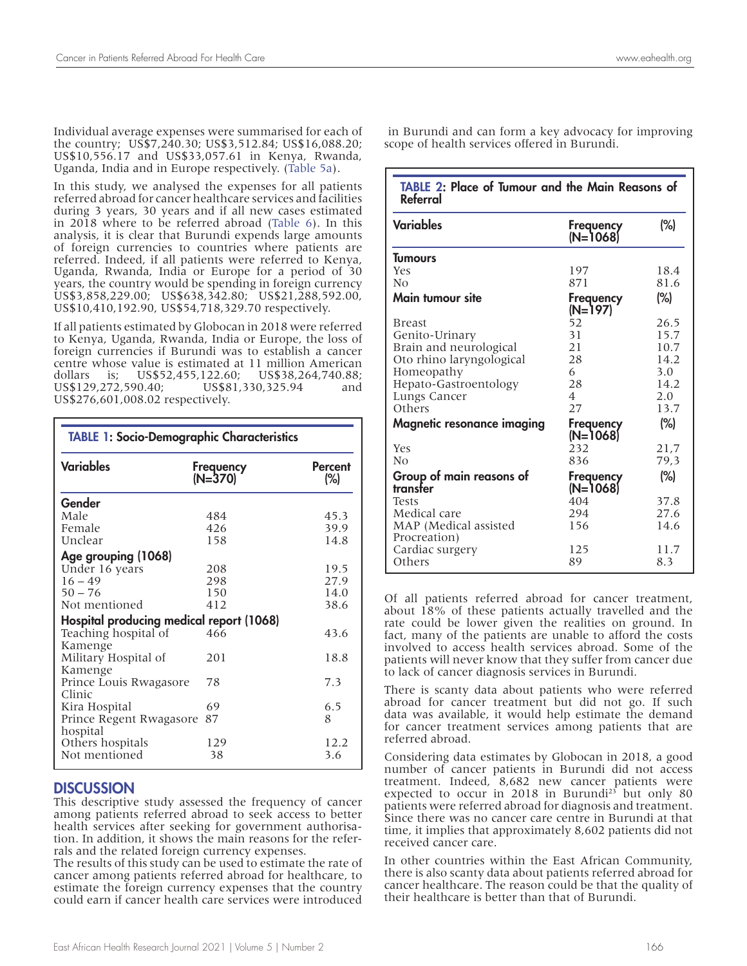Individual average expenses were summarised for each of the country; US\$7,240.30; US\$3,512.84; US\$16,088.20; US\$10,556.17 and US\$33,057.61 in Kenya, Rwanda, Uganda, India and in Europe respectively. (Table 5a).

In this study, we analysed the expenses for all patients referred abroad for cancer healthcare services and facilities during 3 years, 30 years and if all new cases estimated in 2018 where to be referred abroad (Table 6). In this analysis, it is clear that Burundi expends large amounts of foreign currencies to countries where patients are referred. Indeed, if all patients were referred to Kenya, Uganda, Rwanda, India or Europe for a period of 30 years, the country would be spending in foreign currency US\$3,858,229.00; US\$638,342.80; US\$21,288,592.00, US\$10,410,192.90, US\$54,718,329.70 respectively.

If all patients estimated by Globocan in 2018 were referred to Kenya, Uganda, Rwanda, India or Europe, the loss of foreign currencies if Burundi was to establish a cancer centre whose value is estimated at 11 million American dollars is; US\$52,455,122.60; US\$38,264,740.88; US\$129,272,590.40; US\$81,330,325.94 and US\$276,601,008.02 respectively.

| <b>TABLE 1: Socio-Demographic Characteristics</b> |                      |                       |  |  |  |  |
|---------------------------------------------------|----------------------|-----------------------|--|--|--|--|
| <b>Variables</b>                                  | Frequency<br>(N=370) | <b>Percent</b><br>(%) |  |  |  |  |
| Gender                                            |                      |                       |  |  |  |  |
| Male                                              | 484                  | 45.3                  |  |  |  |  |
| Female                                            | 426                  | 39.9                  |  |  |  |  |
| Unclear                                           | 158                  | 14.8                  |  |  |  |  |
| Age grouping (1068)                               |                      |                       |  |  |  |  |
| Under 16 years                                    | 208                  | 19.5                  |  |  |  |  |
| $16 - 49$                                         | 298                  | 27.9                  |  |  |  |  |
| $50 - 76$                                         | 150                  | 14.0                  |  |  |  |  |
| Not mentioned                                     | 412                  | 38.6                  |  |  |  |  |
| Hospital producing medical report (1068)          |                      |                       |  |  |  |  |
| Teaching hospital of<br>Kamenge                   | 466                  | 43.6                  |  |  |  |  |
| Military Hospital of<br>Kamenge                   | 201                  | 18.8                  |  |  |  |  |
| Prince Louis Rwagasore<br>Clinic                  | 78                   | 7.3                   |  |  |  |  |
| Kira Hospital                                     | 69                   | 6.5                   |  |  |  |  |
| Prince Regent Rwagasore<br>hospital               | 87                   | 8                     |  |  |  |  |
| Others hospitals                                  | 129                  | 12.2                  |  |  |  |  |
| Not mentioned                                     | 38                   | 3.6                   |  |  |  |  |

## **DISCUSSION**

This descriptive study assessed the frequency of cancer among patients referred abroad to seek access to better health services after seeking for government authorisa tion. In addition, it shows the main reasons for the refer rals and the related foreign currency expenses.

The results of this study can be used to estimate the rate of cancer among patients referred abroad for healthcare, to estimate the foreign currency expenses that the country could earn if cancer health care services were introduced

| TABLE 2: Place of Tumour and the Main Reasons of<br>Referral |                       |        |  |  |
|--------------------------------------------------------------|-----------------------|--------|--|--|
| <b>Variables</b>                                             | Frequency<br>(N=1068) | $(\%)$ |  |  |
| <b>Tumours</b>                                               |                       |        |  |  |
| <b>Yes</b>                                                   | 197                   | 18.4   |  |  |
| No                                                           | 871                   | 81.6   |  |  |
| Main tumour site                                             | Frequency<br>(N=197)  | (%)    |  |  |
| <b>Breast</b>                                                | 52                    | 26.5   |  |  |
| Genito-Urinary                                               | 31                    | 15.7   |  |  |
| Brain and neurological                                       | 21                    | 10.7   |  |  |
| Oto rhino laryngological                                     | 28                    | 14.2   |  |  |
| Homeopathy                                                   | 6                     | 3.0    |  |  |
| Hepato-Gastroentology                                        | 28                    | 14.2   |  |  |
| Lungs Cancer                                                 | 4                     | 2.0    |  |  |
| Others                                                       | 27                    | 13.7   |  |  |
| Magnetic resonance imaging                                   | Frequency<br>(N=1068) | $(\%)$ |  |  |
| <b>Yes</b>                                                   | 232                   | 21,7   |  |  |
| No                                                           | 836                   | 79,3   |  |  |
| Group of main reasons of<br>transter                         | Frequency<br>(N=1068) | $(\%)$ |  |  |
| <b>Tests</b>                                                 | 404                   | 37.8   |  |  |
| Medical care                                                 | 294                   | 27.6   |  |  |
| MAP (Medical assisted                                        | 156                   | 14.6   |  |  |
| Procreation)                                                 |                       |        |  |  |
| Cardiac surgery                                              | 125                   | 11.7   |  |  |
| Others                                                       | 89                    | 8.3    |  |  |

Of all patients referred abroad for cancer treatment, about 18% of these patients actually travelled and the rate could be lower given the realities on ground. In fact, many of the patients are unable to afford the costs involved to access health services abroad. Some of the patients will never know that they suffer from cancer due to lack of cancer diagnosis services in Burundi.

There is scanty data about patients who were referred abroad for cancer treatment but did not go. If such data was available, it would help estimate the demand for cancer treatment services among patients that are referred abroad.

Considering data estimates by Globocan in 2018, a good number of cancer patients in Burundi did not access treatment. Indeed, 8,682 new cancer patients were expected to occur in 2018 in Burundi<sup>23</sup> but only 80 patients were referred abroad for diagnosis and treatment. Since there was no cancer care centre in Burundi at that time, it implies that approximately 8,602 patients did not received cancer care.

In other countries within the East African Community, there is also scanty data about patients referred abroad for cancer healthcare. The reason could be that the quality of their healthcare is better than that of Burundi.

 in Burundi and can form a key advocacy for improving scope of health services offered in Burundi.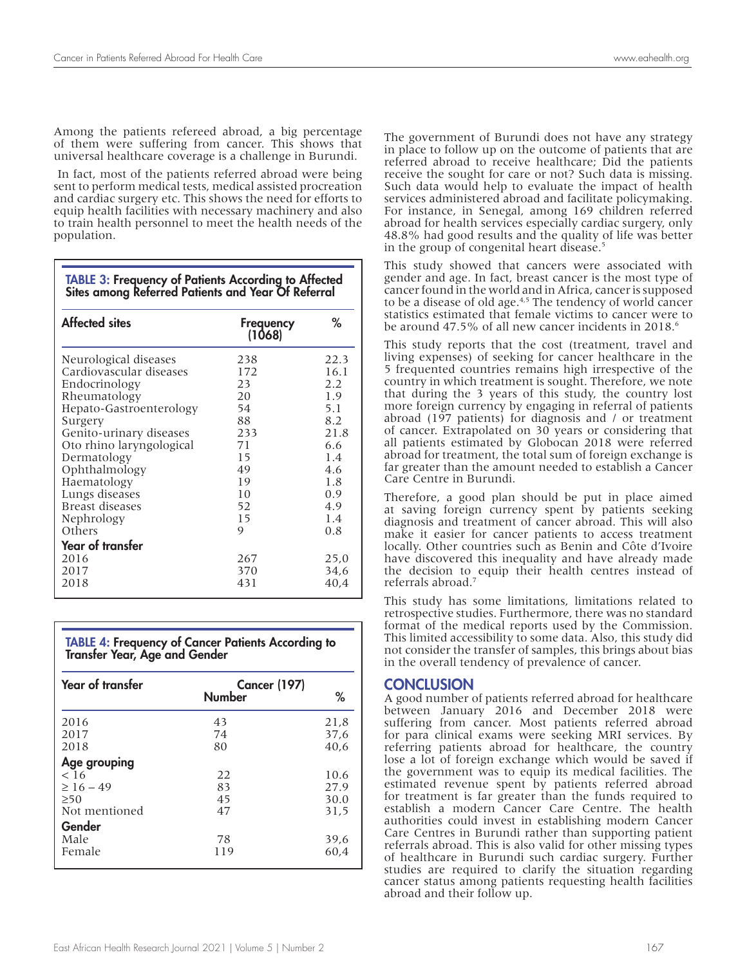Among the patients refereed abroad, a big percentage of them were suffering from cancer. This shows that universal healthcare coverage is a challenge in Burundi.

 In fact, most of the patients referred abroad were being sent to perform medical tests, medical assisted procreation and cardiac surgery etc. This shows the need for efforts to equip health facilities with necessary machinery and also to train health personnel to meet the health needs of the population.

| <b>TABLE 3: Frequency of Patients According to Affected</b><br>Sites among Referred Patients and Year Of Referral |  |
|-------------------------------------------------------------------------------------------------------------------|--|
|                                                                                                                   |  |

| <b>Affected sites</b>    | Frequency<br>(1068) | ℅    |
|--------------------------|---------------------|------|
| Neurological diseases    | 238                 | 22.3 |
| Cardiovascular diseases  | 172                 | 16.1 |
| Endocrinology            | 23                  | 2.2  |
| Rheumatology             | 20                  | 1.9  |
| Hepato-Gastroenterology  | 54                  | 5.1  |
| Surgery                  | 88                  | 8.2  |
| Genito-urinary diseases  | 233                 | 21.8 |
| Oto rhino laryngological | 71                  | 6.6  |
| Dermatology              | 15                  | 1.4  |
| Ophthalmology            | 49                  | 4.6  |
| Haematology              | 19                  | 1.8  |
| Lungs diseases           | 10                  | 0.9  |
| <b>Breast diseases</b>   | 52                  | 4.9  |
| Nephrology               | 15                  | 1.4  |
| Others                   | 9                   | 0.8  |
| <b>Year of transfer</b>  |                     |      |
| 2016                     | 267                 | 25,0 |
| 2017                     | 370                 | 34,6 |
| 2018                     | 431                 | 40,4 |

TABLE 4: Frequency of Cancer Patients According to Transfer Year, Age and Gender

| <b>Year of transfer</b> | <b>Cancer (197)</b><br><b>Number</b> | ℅    |
|-------------------------|--------------------------------------|------|
| 2016                    | 43                                   | 21,8 |
| 2017                    | 74                                   | 37,6 |
| 2018                    | 80                                   | 40.6 |
| Age grouping            |                                      |      |
| $<$ 16                  | 22                                   | 10.6 |
| $\geq 16 - 49$          | 83                                   | 27.9 |
| $\geq 50$               | 45                                   | 30.0 |
| Not mentioned           | 47                                   | 31,5 |
| Gender                  |                                      |      |
| Male                    | 78                                   | 39,6 |
| Female                  | 119                                  | 60,4 |

The government of Burundi does not have any strategy in place to follow up on the outcome of patients that are referred abroad to receive healthcare; Did the patients receive the sought for care or not? Such data is missing. Such data would help to evaluate the impact of health services administered abroad and facilitate policymaking. For instance, in Senegal, among 169 children referred abroad for health services especially cardiac surgery, only 48.8% had good results and the quality of life was better in the group of congenital heart disease.<sup>5</sup>

This study showed that cancers were associated with gender and age. In fact, breast cancer is the most type of cancer found in the world and in Africa, cancer is supposed to be a disease of old age.<sup>4,5</sup> The tendency of world cancer statistics estimated that female victims to cancer were to be around 47.5% of all new cancer incidents in 2018.<sup>6</sup>

This study reports that the cost (treatment, travel and living expenses) of seeking for cancer healthcare in the 5 frequented countries remains high irrespective of the country in which treatment is sought. Therefore, we note that during the 3 years of this study, the country lost more foreign currency by engaging in referral of patients abroad (197 patients) for diagnosis and / or treatment of cancer. Extrapolated on 30 years or considering that all patients estimated by Globocan 2018 were referred abroad for treatment, the total sum of foreign exchange is far greater than the amount needed to establish a Cancer Care Centre in Burundi.

Therefore, a good plan should be put in place aimed at saving foreign currency spent by patients seeking diagnosis and treatment of cancer abroad. This will also make it easier for cancer patients to access treatment locally. Other countries such as Benin and Côte d'Ivoire have discovered this inequality and have already made the decision to equip their health centres instead of referrals abroad.7

This study has some limitations, limitations related to retrospective studies. Furthermore, there was no standard format of the medical reports used by the Commission. This limited accessibility to some data. Also, this study did not consider the transfer of samples, this brings about bias in the overall tendency of prevalence of cancer.

## **CONCLUSION**

A good number of patients referred abroad for healthcare between January 2016 and December 2018 were suffering from cancer. Most patients referred abroad for para clinical exams were seeking MRI services. By referring patients abroad for healthcare, the country lose a lot of foreign exchange which would be saved if the government was to equip its medical facilities. The estimated revenue spent by patients referred abroad for treatment is far greater than the funds required to establish a modern Cancer Care Centre. The health authorities could invest in establishing modern Cancer Care Centres in Burundi rather than supporting patient referrals abroad. This is also valid for other missing types of healthcare in Burundi such cardiac surgery. Further studies are required to clarify the situation regarding cancer status among patients requesting health facilities abroad and their follow up.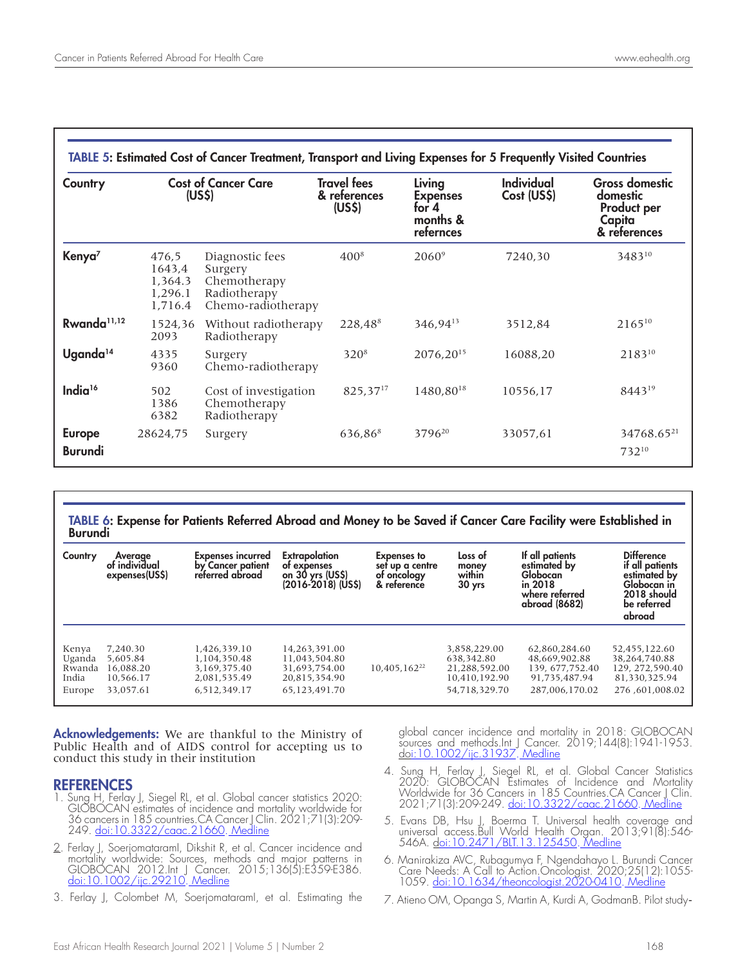| TABLE 5: Estimated Cost of Cancer Treatment, Transport and Living Expenses for 5 Frequently Visited Countries |                                                  |                                                                                  |                                                          |                                                             |                                  |                                                                                   |
|---------------------------------------------------------------------------------------------------------------|--------------------------------------------------|----------------------------------------------------------------------------------|----------------------------------------------------------|-------------------------------------------------------------|----------------------------------|-----------------------------------------------------------------------------------|
| Country                                                                                                       | <b>Cost of Cancer Care</b><br>(US <sub>5</sub> ) |                                                                                  | <b>Travel fees</b><br>& references<br>(US <sub>5</sub> ) | Living<br><b>Expenses</b><br>for 4<br>months &<br>refernces | <b>Individual</b><br>Cost (US\$) | <b>Gross domestic</b><br>domestic<br><b>Product per</b><br>Capita<br>& references |
| Kenya <sup>7</sup>                                                                                            | 476,5<br>1643,4<br>1,364.3<br>1,296.1<br>1,716.4 | Diagnostic fees<br>Surgery<br>Chemotherapy<br>Radiotherapy<br>Chemo-radiotherapy | $400^{8}$                                                | $2060^9$                                                    | 7240,30                          | 348310                                                                            |
| Rwanda <sup>11,12</sup>                                                                                       | 1524,36<br>2093                                  | Without radiotherapy<br>Radiotherapy                                             | 228,488                                                  | 346,94 <sup>13</sup>                                        | 3512,84                          | $2165^{10}$                                                                       |
| Uganda <sup>14</sup>                                                                                          | 4335<br>9360                                     | Surgery<br>Chemo-radiotherapy                                                    | $320^{8}$                                                | 2076,20 <sup>15</sup>                                       | 16088,20                         | 218310                                                                            |
| India <sup>16</sup>                                                                                           | 502<br>1386<br>6382                              | Cost of investigation<br>Chemotherapy<br>Radiotherapy                            | $825,37^{17}$                                            | 1480.8018                                                   | 10556,17                         | $8443^{19}$                                                                       |
| <b>Europe</b><br><b>Burundi</b>                                                                               | 28624,75                                         | Surgery                                                                          | 636,868                                                  | 3796 <sup>20</sup>                                          | 33057,61                         | 34768.65 <sup>21</sup><br>73210                                                   |

# TABLE 6: Expense for Patients Referred Abroad and Money to be Saved if Cancer Care Facility were Established in<br>Burundi

| Country | Average<br>of individual<br>expenses(US\$) | <b>Expenses incurred</b><br>by Cancer patient<br>referred abroad | Extrapolation<br>of expenses<br>on 30 yrs (US\$)<br>(2016-2018) (US\$) | <b>Expenses to</b><br>set up a centre<br>of oncology<br>& reference | Loss of<br>money<br>within<br>30 <sub>yrs</sub> | If all patients<br>estimated by<br>Globocan<br>in 2018<br>where referred<br>abroad (8682) | <b>Difference</b><br>if all patients<br>estimated by<br>Globocan in<br>2018 should<br>be referred<br>abroad |
|---------|--------------------------------------------|------------------------------------------------------------------|------------------------------------------------------------------------|---------------------------------------------------------------------|-------------------------------------------------|-------------------------------------------------------------------------------------------|-------------------------------------------------------------------------------------------------------------|
| Kenya   | 7.240.30                                   | 1.426.339.10                                                     | 14.263.391.00                                                          | $10.405.162^{22}$                                                   | 3.858.229.00                                    | 62.860.284.60                                                                             | 52.455.122.60                                                                                               |
| Uganda  | 5.605.84                                   | 1,104,350.48                                                     | 11,043,504.80                                                          |                                                                     | 638.342.80                                      | 48,669,902.88                                                                             | 38.264.740.88                                                                                               |
| Rwanda  | 16.088.20                                  | 3.169.375.40                                                     | 31.693.754.00                                                          |                                                                     | 21.288.592.00                                   | 139.677.752.40                                                                            | 129.272.590.40                                                                                              |
| India   | 10.566.17                                  | 2,081,535.49                                                     | 20,815,354.90                                                          |                                                                     | 10,410,192.90                                   | 91.735.487.94                                                                             | 81,330,325.94                                                                                               |
| Europe  | 33.057.61                                  | 6.512.349.17                                                     | 65.123.491.70                                                          |                                                                     | 54.718.329.70                                   | 287.006.170.02                                                                            | 276.601.008.02                                                                                              |

Acknowledgements: We are thankful to the Ministry of Public Health and of AIDS control for accepting us to conduct this study in their institution

## **REFERENCES**<br>1. Sung H. Ferlav

- Sung H, Ferlay J, Siegel RL, et al. Global cancer statistics 2020: GLOBOCAN estimates of incidence and mortality worldwide for 36 cancers in 185 countries.CA Cancer J Clin. 2021;71(3):209- 249. <u>doi:10.3322/caac.21660</u>. <u>Medline</u>
- 2. Ferlay J, SoerjomataramI, Dikshit R, et al. Cancer incidence and mortality worldwide: Sources, methods and major patterns in GLOBOCAN 2012.Int J Cancer. 2015;136(5):E359-E386. <u>doi:10.1002/ijc.29210</u>. <u>Medline</u>
- 3. Ferlay J, Colombet M, SoerjomataramI, et al. Estimating the

global cancer incidence and mortality in 2018: GLOBOCAN sources and methods.Int J Cancer. 2019;144(8):1941-1953. doi:10.1002/ijc.31937. Medline

- 4. Sung H, Ferlay J, Siegel RL, et al. Global Cancer Statistics 2020: GLOBOCAN Estimates of Incidence and Mortality Worldwide for 36 Cancers in 185 Countries.CA Cancer J Clin. 2021;71(3):209-249. doi:10.3322/caac.21660. Medline
- 5. Evans DB, Hsu J, Boerma T. Universal health coverage and universal access.Bull World Health Organ. 2013;91(8):546- 546A. <u>doi:10.2471/BLT.13.125450</u>. <u>Medline</u>
- 6. Manirakiza AVC, Rubagumya F, Ngendahayo L. Burundi Cancer Care Needs: A Call to Action.Oncologist. 2020;25(12):1055-1059. doi:10.1634/theoncologist.2020-0410. Medline
- 7. Atieno OM, Opanga S, Martin A, Kurdi A, GodmanB. Pilot study-